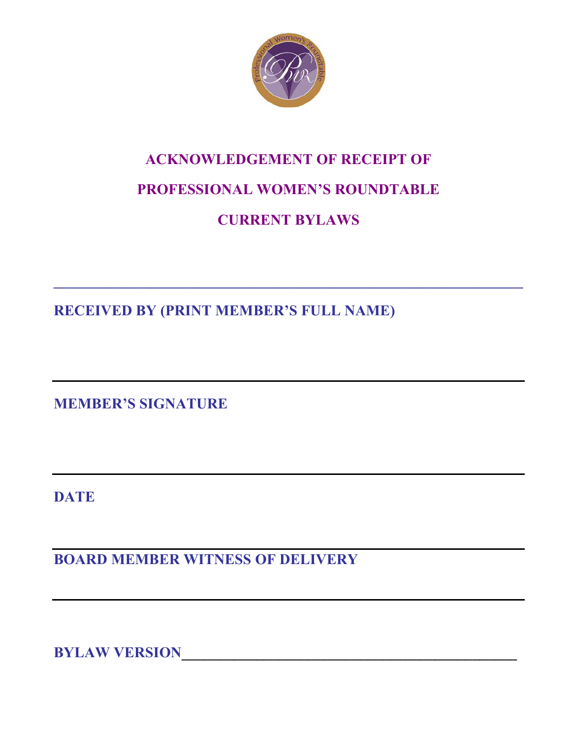

# **ACKNOWLEDGEMENT OF RECEIPT OF PROFESSIONAL WOMEN'S ROUNDTABLE**

# **CURRENT BYLAWS**

**\_\_\_\_\_\_\_\_\_\_\_\_\_\_\_\_\_\_\_\_\_\_\_\_\_\_\_\_\_\_\_\_\_\_\_\_\_\_\_\_\_\_\_\_\_\_\_\_\_\_\_\_\_\_\_\_\_\_\_\_\_\_\_** 

**RECEIVED BY (PRINT MEMBER'S FULL NAME)** 

**MEMBER'S SIGNATURE** 

**DATE** 

**BOARD MEMBER WITNESS OF DELIVERY** 

**BYLAW VERSION**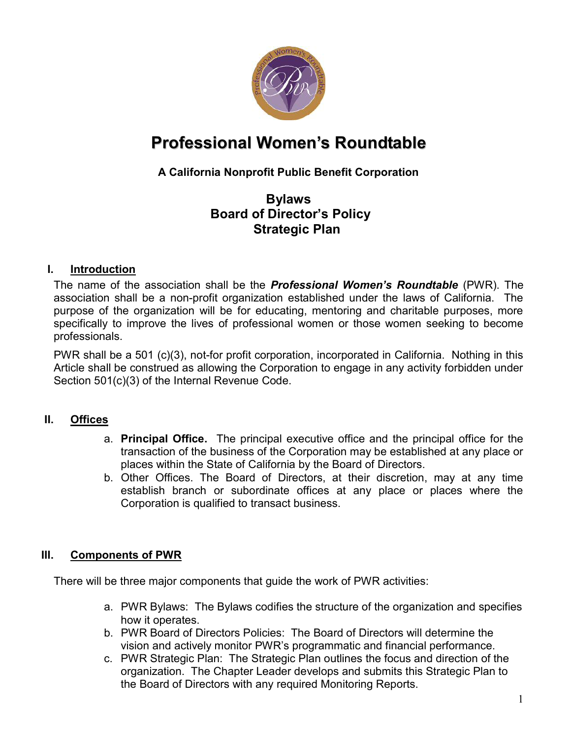

# **Professional Women's Roundtable**

# **A California Nonprofit Public Benefit Corporation**

# **Bylaws Board of Director's Policy Strategic Plan**

#### **I. Introduction**

The name of the association shall be the *Professional Women's Roundtable* (PWR). The association shall be a non-profit organization established under the laws of California. The purpose of the organization will be for educating, mentoring and charitable purposes, more specifically to improve the lives of professional women or those women seeking to become professionals.

PWR shall be a 501 (c)(3), not-for profit corporation, incorporated in California. Nothing in this Article shall be construed as allowing the Corporation to engage in any activity forbidden under Section 501(c)(3) of the Internal Revenue Code.

#### **II. Offices**

- a. **Principal Office.** The principal executive office and the principal office for the transaction of the business of the Corporation may be established at any place or places within the State of California by the Board of Directors.
- b. Other Offices. The Board of Directors, at their discretion, may at any time establish branch or subordinate offices at any place or places where the Corporation is qualified to transact business.

#### **III. Components of PWR**

There will be three major components that guide the work of PWR activities:

- a. PWR Bylaws: The Bylaws codifies the structure of the organization and specifies how it operates.
- b. PWR Board of Directors Policies: The Board of Directors will determine the vision and actively monitor PWR's programmatic and financial performance.
- c. PWR Strategic Plan: The Strategic Plan outlines the focus and direction of the organization. The Chapter Leader develops and submits this Strategic Plan to the Board of Directors with any required Monitoring Reports.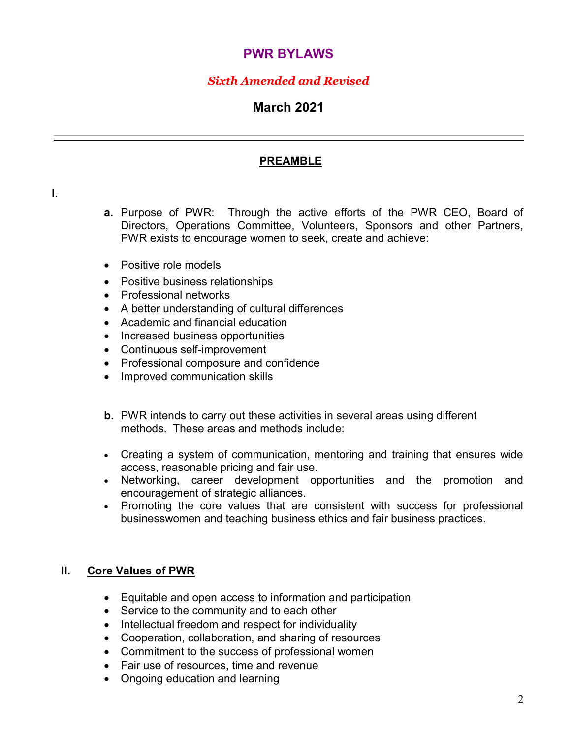# **PWR BYLAWS**

## *Sixth Amended and Revised*

# **March 2021**

#### **PREAMBLE**

- **a.** Purpose of PWR: Through the active efforts of the PWR CEO, Board of Directors, Operations Committee, Volunteers, Sponsors and other Partners, PWR exists to encourage women to seek, create and achieve:
- Positive role models
- Positive business relationships
- Professional networks
- A better understanding of cultural differences
- Academic and financial education
- Increased business opportunities
- Continuous self-improvement
- Professional composure and confidence
- Improved communication skills
- **b.** PWR intends to carry out these activities in several areas using different methods. These areas and methods include:
- Creating a system of communication, mentoring and training that ensures wide access, reasonable pricing and fair use.
- Networking, career development opportunities and the promotion and encouragement of strategic alliances.
- Promoting the core values that are consistent with success for professional businesswomen and teaching business ethics and fair business practices.

#### **II. Core Values of PWR**

- Equitable and open access to information and participation
- Service to the community and to each other
- Intellectual freedom and respect for individuality
- Cooperation, collaboration, and sharing of resources
- Commitment to the success of professional women
- Fair use of resources, time and revenue
- Ongoing education and learning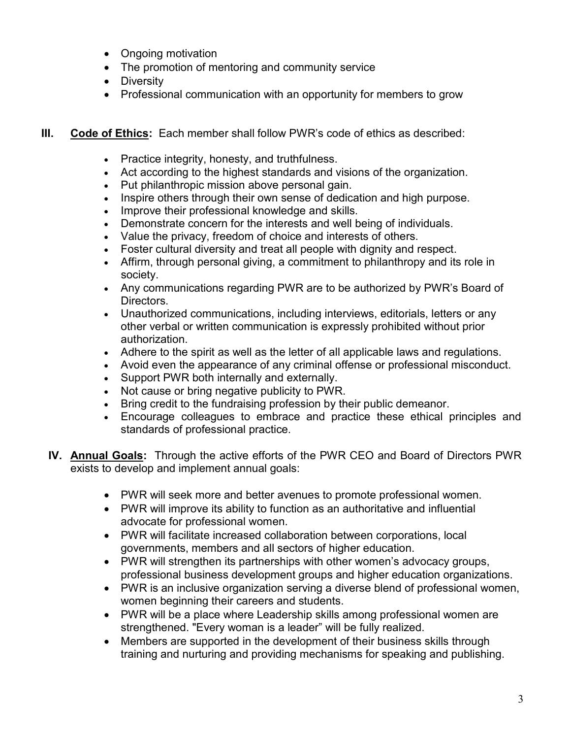- Ongoing motivation
- The promotion of mentoring and community service
- Diversity
- Professional communication with an opportunity for members to grow
- **III.** Code of Ethics: Each member shall follow PWR's code of ethics as described:
	- Practice integrity, honesty, and truthfulness.
	- Act according to the highest standards and visions of the organization.
	- Put philanthropic mission above personal gain.
	- Inspire others through their own sense of dedication and high purpose.
	- Improve their professional knowledge and skills.
	- Demonstrate concern for the interests and well being of individuals.
	- Value the privacy, freedom of choice and interests of others.
	- Foster cultural diversity and treat all people with dignity and respect.
	- Affirm, through personal giving, a commitment to philanthropy and its role in society.
	- Any communications regarding PWR are to be authorized by PWR's Board of Directors.
	- Unauthorized communications, including interviews, editorials, letters or any other verbal or written communication is expressly prohibited without prior authorization.
	- Adhere to the spirit as well as the letter of all applicable laws and regulations.
	- Avoid even the appearance of any criminal offense or professional misconduct.
	- Support PWR both internally and externally.
	- Not cause or bring negative publicity to PWR.
	- Bring credit to the fundraising profession by their public demeanor.
	- Encourage colleagues to embrace and practice these ethical principles and standards of professional practice.
	- **IV. Annual Goals:** Through the active efforts of the PWR CEO and Board of Directors PWR exists to develop and implement annual goals:
		- PWR will seek more and better avenues to promote professional women.
		- PWR will improve its ability to function as an authoritative and influential advocate for professional women.
		- PWR will facilitate increased collaboration between corporations, local governments, members and all sectors of higher education.
		- PWR will strengthen its partnerships with other women's advocacy groups, professional business development groups and higher education organizations.
		- PWR is an inclusive organization serving a diverse blend of professional women, women beginning their careers and students.
		- PWR will be a place where Leadership skills among professional women are strengthened. "Every woman is a leader" will be fully realized.
		- Members are supported in the development of their business skills through training and nurturing and providing mechanisms for speaking and publishing.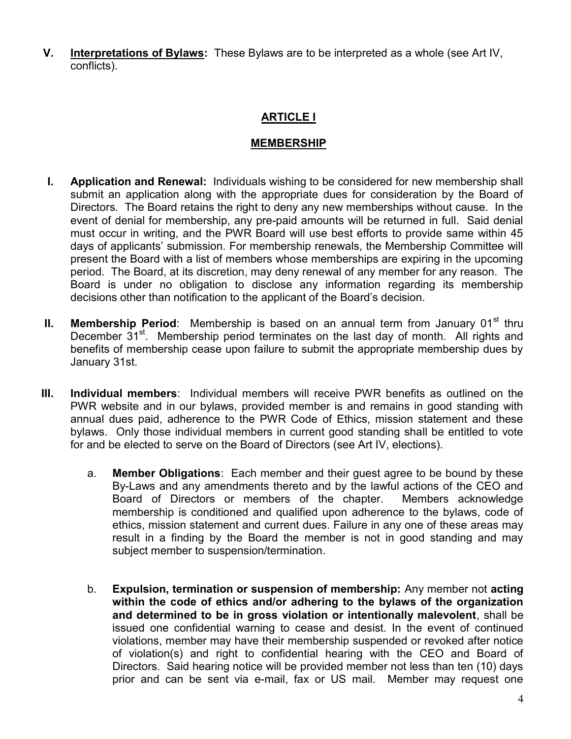**V. Interpretations of Bylaws:** These Bylaws are to be interpreted as a whole (see Art IV, conflicts).

# **ARTICLE I**

#### **MEMBERSHIP**

- **I. Application and Renewal:** Individuals wishing to be considered for new membership shall submit an application along with the appropriate dues for consideration by the Board of Directors. The Board retains the right to deny any new memberships without cause. In the event of denial for membership, any pre-paid amounts will be returned in full. Said denial must occur in writing, and the PWR Board will use best efforts to provide same within 45 days of applicants' submission. For membership renewals, the Membership Committee will present the Board with a list of members whose memberships are expiring in the upcoming period. The Board, at its discretion, may deny renewal of any member for any reason. The Board is under no obligation to disclose any information regarding its membership decisions other than notification to the applicant of the Board's decision.
- **II.** Membership Period: Membership is based on an annual term from January 01<sup>st</sup> thru December 31<sup>st</sup>. Membership period terminates on the last day of month. All rights and benefits of membership cease upon failure to submit the appropriate membership dues by January 31st.
- **III. Individual members**: Individual members will receive PWR benefits as outlined on the PWR website and in our bylaws, provided member is and remains in good standing with annual dues paid, adherence to the PWR Code of Ethics, mission statement and these bylaws. Only those individual members in current good standing shall be entitled to vote for and be elected to serve on the Board of Directors (see Art IV, elections).
	- a. **Member Obligations**: Each member and their guest agree to be bound by these By-Laws and any amendments thereto and by the lawful actions of the CEO and Board of Directors or members of the chapter. Members acknowledge membership is conditioned and qualified upon adherence to the bylaws, code of ethics, mission statement and current dues. Failure in any one of these areas may result in a finding by the Board the member is not in good standing and may subject member to suspension/termination.
	- b. **Expulsion, termination or suspension of membership:** Any member not **acting within the code of ethics and/or adhering to the bylaws of the organization and determined to be in gross violation or intentionally malevolent**, shall be issued one confidential warning to cease and desist. In the event of continued violations, member may have their membership suspended or revoked after notice of violation(s) and right to confidential hearing with the CEO and Board of Directors. Said hearing notice will be provided member not less than ten (10) days prior and can be sent via e-mail, fax or US mail. Member may request one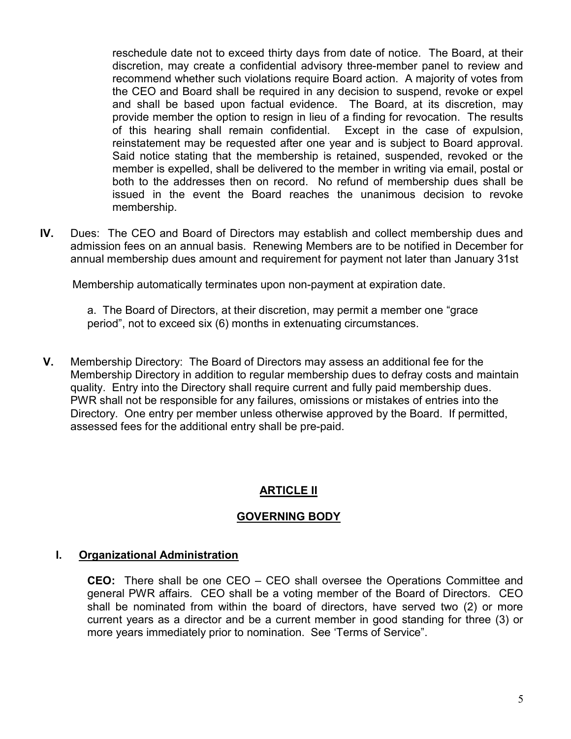reschedule date not to exceed thirty days from date of notice. The Board, at their discretion, may create a confidential advisory three-member panel to review and recommend whether such violations require Board action. A majority of votes from the CEO and Board shall be required in any decision to suspend, revoke or expel and shall be based upon factual evidence. The Board, at its discretion, may provide member the option to resign in lieu of a finding for revocation. The results of this hearing shall remain confidential. Except in the case of expulsion, reinstatement may be requested after one year and is subject to Board approval. Said notice stating that the membership is retained, suspended, revoked or the member is expelled, shall be delivered to the member in writing via email, postal or both to the addresses then on record. No refund of membership dues shall be issued in the event the Board reaches the unanimous decision to revoke membership.

**IV.** Dues: The CEO and Board of Directors may establish and collect membership dues and admission fees on an annual basis. Renewing Members are to be notified in December for annual membership dues amount and requirement for payment not later than January 31st

Membership automatically terminates upon non-payment at expiration date.

 a. The Board of Directors, at their discretion, may permit a member one "grace period", not to exceed six (6) months in extenuating circumstances.

**V.** Membership Directory: The Board of Directors may assess an additional fee for the Membership Directory in addition to regular membership dues to defray costs and maintain quality. Entry into the Directory shall require current and fully paid membership dues. PWR shall not be responsible for any failures, omissions or mistakes of entries into the Directory. One entry per member unless otherwise approved by the Board. If permitted, assessed fees for the additional entry shall be pre-paid.

#### **ARTICLE II**

#### **GOVERNING BODY**

#### **I. Organizational Administration**

 **CEO:** There shall be one CEO – CEO shall oversee the Operations Committee and general PWR affairs. CEO shall be a voting member of the Board of Directors. CEO shall be nominated from within the board of directors, have served two (2) or more current years as a director and be a current member in good standing for three (3) or more years immediately prior to nomination. See 'Terms of Service".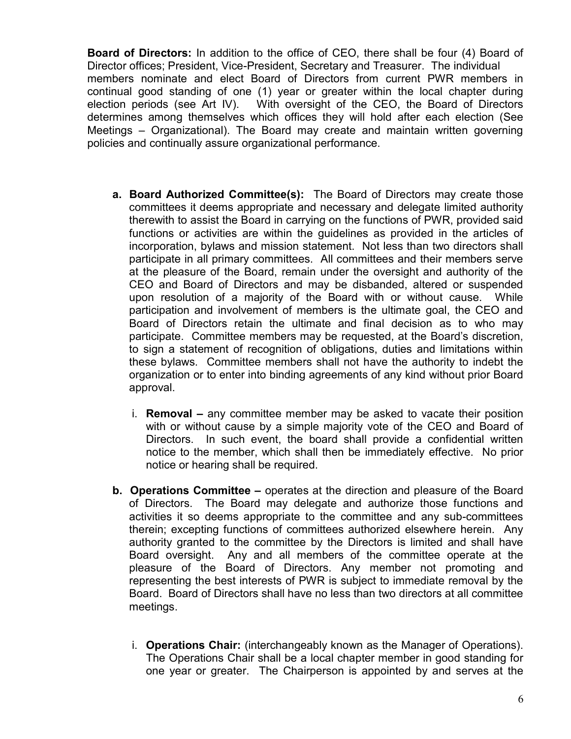**Board of Directors:** In addition to the office of CEO, there shall be four (4) Board of Director offices; President, Vice-President, Secretary and Treasurer. The individual members nominate and elect Board of Directors from current PWR members in continual good standing of one (1) year or greater within the local chapter during election periods (see Art IV). With oversight of the CEO, the Board of Directors determines among themselves which offices they will hold after each election (See Meetings – Organizational). The Board may create and maintain written governing policies and continually assure organizational performance.

- **a. Board Authorized Committee(s):** The Board of Directors may create those committees it deems appropriate and necessary and delegate limited authority therewith to assist the Board in carrying on the functions of PWR, provided said functions or activities are within the guidelines as provided in the articles of incorporation, bylaws and mission statement. Not less than two directors shall participate in all primary committees. All committees and their members serve at the pleasure of the Board, remain under the oversight and authority of the CEO and Board of Directors and may be disbanded, altered or suspended upon resolution of a majority of the Board with or without cause. While participation and involvement of members is the ultimate goal, the CEO and Board of Directors retain the ultimate and final decision as to who may participate. Committee members may be requested, at the Board's discretion, to sign a statement of recognition of obligations, duties and limitations within these bylaws. Committee members shall not have the authority to indebt the organization or to enter into binding agreements of any kind without prior Board approval.
	- i. **Removal** any committee member may be asked to vacate their position with or without cause by a simple majority vote of the CEO and Board of Directors. In such event, the board shall provide a confidential written notice to the member, which shall then be immediately effective. No prior notice or hearing shall be required.
- **b. Operations Committee** operates at the direction and pleasure of the Board of Directors. The Board may delegate and authorize those functions and activities it so deems appropriate to the committee and any sub-committees therein; excepting functions of committees authorized elsewhere herein. Any authority granted to the committee by the Directors is limited and shall have Board oversight. Any and all members of the committee operate at the pleasure of the Board of Directors. Any member not promoting and representing the best interests of PWR is subject to immediate removal by the Board. Board of Directors shall have no less than two directors at all committee meetings.
	- i. **Operations Chair:** (interchangeably known as the Manager of Operations). The Operations Chair shall be a local chapter member in good standing for one year or greater. The Chairperson is appointed by and serves at the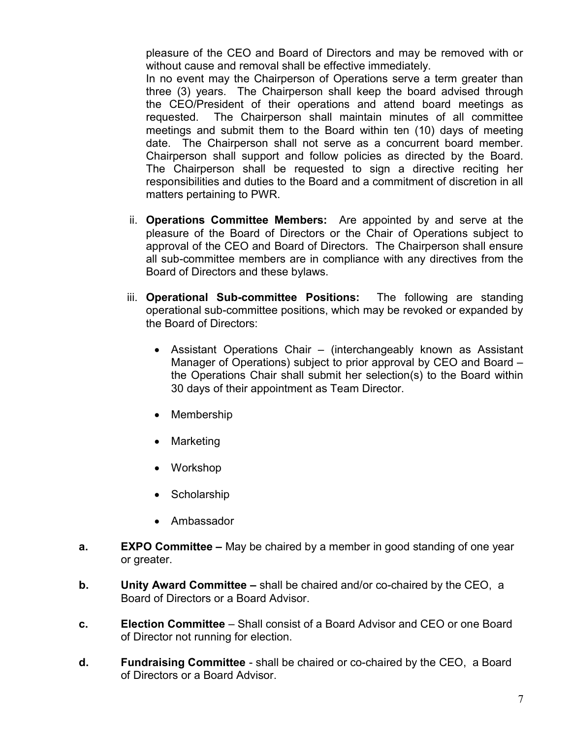pleasure of the CEO and Board of Directors and may be removed with or without cause and removal shall be effective immediately.

In no event may the Chairperson of Operations serve a term greater than three (3) years. The Chairperson shall keep the board advised through the CEO/President of their operations and attend board meetings as requested. The Chairperson shall maintain minutes of all committee meetings and submit them to the Board within ten (10) days of meeting date. The Chairperson shall not serve as a concurrent board member. Chairperson shall support and follow policies as directed by the Board. The Chairperson shall be requested to sign a directive reciting her responsibilities and duties to the Board and a commitment of discretion in all matters pertaining to PWR.

- ii. **Operations Committee Members:** Are appointed by and serve at the pleasure of the Board of Directors or the Chair of Operations subject to approval of the CEO and Board of Directors. The Chairperson shall ensure all sub-committee members are in compliance with any directives from the Board of Directors and these bylaws.
- iii. **Operational Sub-committee Positions:** The following are standing operational sub-committee positions, which may be revoked or expanded by the Board of Directors:
	- Assistant Operations Chair (interchangeably known as Assistant Manager of Operations) subject to prior approval by CEO and Board – the Operations Chair shall submit her selection(s) to the Board within 30 days of their appointment as Team Director.
	- Membership
	- Marketing
	- Workshop
	- Scholarship
	- Ambassador
- **a. EXPO Committee** May be chaired by a member in good standing of one year or greater.
- **b. Unity Award Committee** shall be chaired and/or co-chaired by the CEO, a Board of Directors or a Board Advisor.
- **c. Election Committee** Shall consist of a Board Advisor and CEO or one Board of Director not running for election.
- **d. Fundraising Committee** shall be chaired or co-chaired by the CEO, a Board of Directors or a Board Advisor.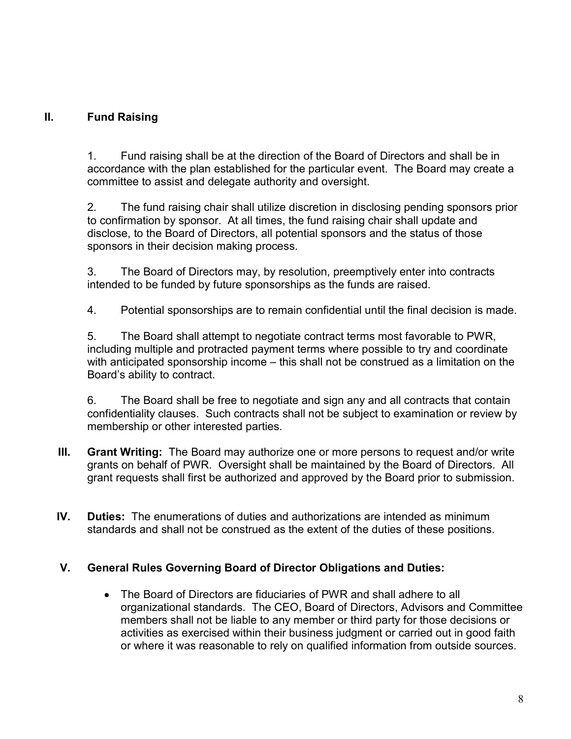#### **II. Fund Raising**

1. Fund raising shall be at the direction of the Board of Directors and shall be in accordance with the plan established for the particular event. The Board may create a committee to assist and delegate authority and oversight.

2. The fund raising chair shall utilize discretion in disclosing pending sponsors prior to confirmation by sponsor. At all times, the fund raising chair shall update and disclose, to the Board of Directors, all potential sponsors and the status of those sponsors in their decision making process.

3. The Board of Directors may, by resolution, preemptively enter into contracts intended to be funded by future sponsorships as the funds are raised.

4. Potential sponsorships are to remain confidential until the final decision is made.

5. The Board shall attempt to negotiate contract terms most favorable to PWR, including multiple and protracted payment terms where possible to try and coordinate with anticipated sponsorship income – this shall not be construed as a limitation on the Board's ability to contract.

6. The Board shall be free to negotiate and sign any and all contracts that contain confidentiality clauses. Such contracts shall not be subject to examination or review by membership or other interested parties.

- **III. Grant Writing:** The Board may authorize one or more persons to request and/or write grants on behalf of PWR. Oversight shall be maintained by the Board of Directors. All grant requests shall first be authorized and approved by the Board prior to submission.
- **IV. Duties:** The enumerations of duties and authorizations are intended as minimum standards and shall not be construed as the extent of the duties of these positions.

#### **V. General Rules Governing Board of Director Obligations and Duties:**

 The Board of Directors are fiduciaries of PWR and shall adhere to all organizational standards. The CEO, Board of Directors, Advisors and Committee members shall not be liable to any member or third party for those decisions or activities as exercised within their business judgment or carried out in good faith or where it was reasonable to rely on qualified information from outside sources.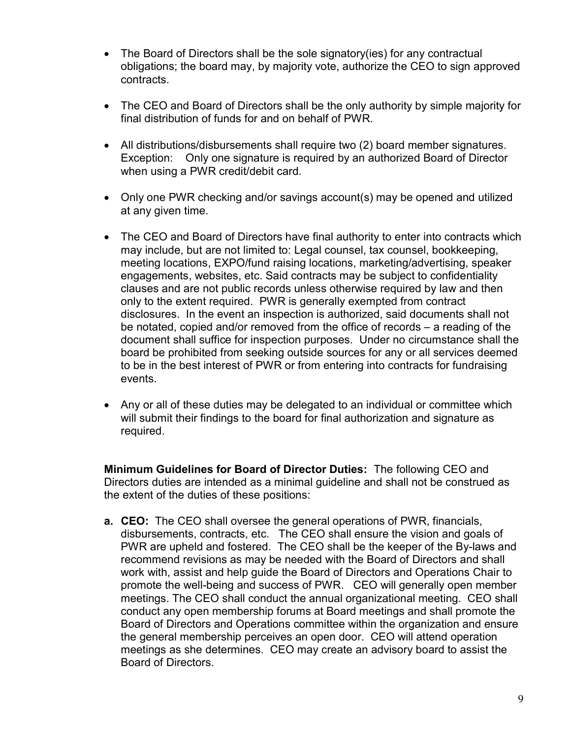- The Board of Directors shall be the sole signatory(ies) for any contractual obligations; the board may, by majority vote, authorize the CEO to sign approved contracts.
- The CEO and Board of Directors shall be the only authority by simple majority for final distribution of funds for and on behalf of PWR.
- All distributions/disbursements shall require two (2) board member signatures. Exception: Only one signature is required by an authorized Board of Director when using a PWR credit/debit card.
- Only one PWR checking and/or savings account(s) may be opened and utilized at any given time.
- The CEO and Board of Directors have final authority to enter into contracts which may include, but are not limited to: Legal counsel, tax counsel, bookkeeping, meeting locations, EXPO/fund raising locations, marketing/advertising, speaker engagements, websites, etc. Said contracts may be subject to confidentiality clauses and are not public records unless otherwise required by law and then only to the extent required. PWR is generally exempted from contract disclosures. In the event an inspection is authorized, said documents shall not be notated, copied and/or removed from the office of records – a reading of the document shall suffice for inspection purposes. Under no circumstance shall the board be prohibited from seeking outside sources for any or all services deemed to be in the best interest of PWR or from entering into contracts for fundraising events.
- Any or all of these duties may be delegated to an individual or committee which will submit their findings to the board for final authorization and signature as required.

**Minimum Guidelines for Board of Director Duties:** The following CEO and Directors duties are intended as a minimal guideline and shall not be construed as the extent of the duties of these positions:

**a. CEO:** The CEO shall oversee the general operations of PWR, financials, disbursements, contracts, etc. The CEO shall ensure the vision and goals of PWR are upheld and fostered. The CEO shall be the keeper of the By-laws and recommend revisions as may be needed with the Board of Directors and shall work with, assist and help guide the Board of Directors and Operations Chair to promote the well-being and success of PWR. CEO will generally open member meetings. The CEO shall conduct the annual organizational meeting. CEO shall conduct any open membership forums at Board meetings and shall promote the Board of Directors and Operations committee within the organization and ensure the general membership perceives an open door. CEO will attend operation meetings as she determines. CEO may create an advisory board to assist the Board of Directors.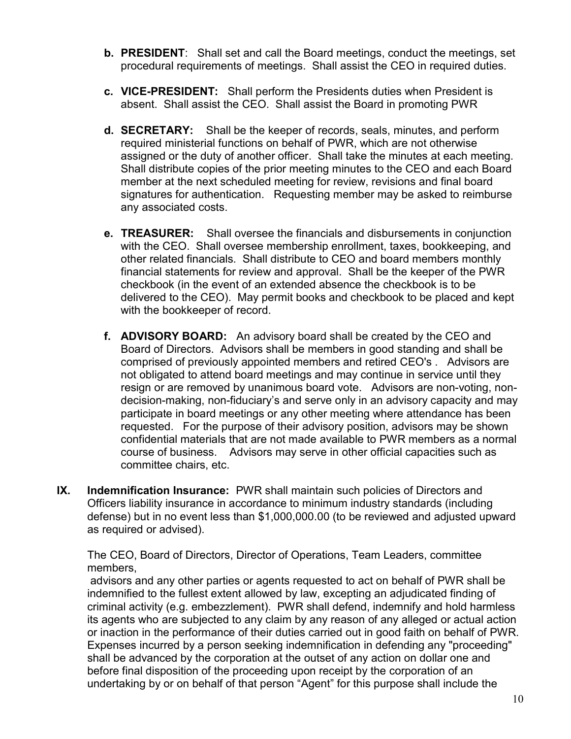- **b. PRESIDENT**: Shall set and call the Board meetings, conduct the meetings, set procedural requirements of meetings. Shall assist the CEO in required duties.
- **c. VICE-PRESIDENT:** Shall perform the Presidents duties when President is absent. Shall assist the CEO. Shall assist the Board in promoting PWR
- **d. SECRETARY:** Shall be the keeper of records, seals, minutes, and perform required ministerial functions on behalf of PWR, which are not otherwise assigned or the duty of another officer. Shall take the minutes at each meeting. Shall distribute copies of the prior meeting minutes to the CEO and each Board member at the next scheduled meeting for review, revisions and final board signatures for authentication. Requesting member may be asked to reimburse any associated costs.
- **e. TREASURER:** Shall oversee the financials and disbursements in conjunction with the CEO. Shall oversee membership enrollment, taxes, bookkeeping, and other related financials. Shall distribute to CEO and board members monthly financial statements for review and approval. Shall be the keeper of the PWR checkbook (in the event of an extended absence the checkbook is to be delivered to the CEO). May permit books and checkbook to be placed and kept with the bookkeeper of record.
- **f. ADVISORY BOARD:** An advisory board shall be created by the CEO and Board of Directors. Advisors shall be members in good standing and shall be comprised of previously appointed members and retired CEO's . Advisors are not obligated to attend board meetings and may continue in service until they resign or are removed by unanimous board vote. Advisors are non-voting, nondecision-making, non-fiduciary's and serve only in an advisory capacity and may participate in board meetings or any other meeting where attendance has been requested. For the purpose of their advisory position, advisors may be shown confidential materials that are not made available to PWR members as a normal course of business. Advisors may serve in other official capacities such as committee chairs, etc.
- **IX. Indemnification Insurance:** PWR shall maintain such policies of Directors and Officers liability insurance in accordance to minimum industry standards (including defense) but in no event less than \$1,000,000.00 (to be reviewed and adjusted upward as required or advised).

The CEO, Board of Directors, Director of Operations, Team Leaders, committee members,

 advisors and any other parties or agents requested to act on behalf of PWR shall be indemnified to the fullest extent allowed by law, excepting an adjudicated finding of criminal activity (e.g. embezzlement). PWR shall defend, indemnify and hold harmless its agents who are subjected to any claim by any reason of any alleged or actual action or inaction in the performance of their duties carried out in good faith on behalf of PWR. Expenses incurred by a person seeking indemnification in defending any "proceeding" shall be advanced by the corporation at the outset of any action on dollar one and before final disposition of the proceeding upon receipt by the corporation of an undertaking by or on behalf of that person "Agent" for this purpose shall include the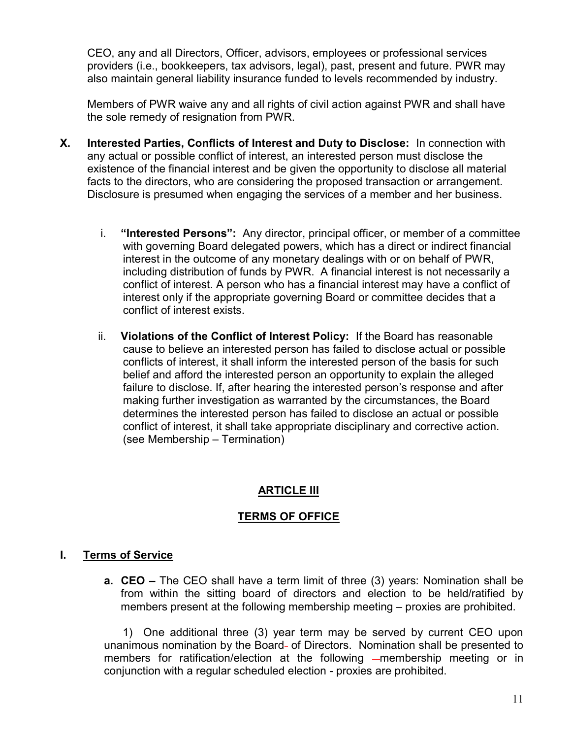CEO, any and all Directors, Officer, advisors, employees or professional services providers (i.e., bookkeepers, tax advisors, legal), past, present and future. PWR may also maintain general liability insurance funded to levels recommended by industry.

Members of PWR waive any and all rights of civil action against PWR and shall have the sole remedy of resignation from PWR.

- **X. Interested Parties, Conflicts of Interest and Duty to Disclose:** In connection with any actual or possible conflict of interest, an interested person must disclose the existence of the financial interest and be given the opportunity to disclose all material facts to the directors, who are considering the proposed transaction or arrangement. Disclosure is presumed when engaging the services of a member and her business.
	- i. **"Interested Persons":** Any director, principal officer, or member of a committee with governing Board delegated powers, which has a direct or indirect financial interest in the outcome of any monetary dealings with or on behalf of PWR, including distribution of funds by PWR. A financial interest is not necessarily a conflict of interest. A person who has a financial interest may have a conflict of interest only if the appropriate governing Board or committee decides that a conflict of interest exists.
	- ii. **Violations of the Conflict of Interest Policy:** If the Board has reasonable cause to believe an interested person has failed to disclose actual or possible conflicts of interest, it shall inform the interested person of the basis for such belief and afford the interested person an opportunity to explain the alleged failure to disclose. If, after hearing the interested person's response and after making further investigation as warranted by the circumstances, the Board determines the interested person has failed to disclose an actual or possible conflict of interest, it shall take appropriate disciplinary and corrective action. (see Membership – Termination)

# **ARTICLE III**

#### **TERMS OF OFFICE**

#### **I. Terms of Service**

**a. CEO –** The CEO shall have a term limit of three (3) years: Nomination shall be from within the sitting board of directors and election to be held/ratified by members present at the following membership meeting – proxies are prohibited.

 1) One additional three (3) year term may be served by current CEO upon unanimous nomination by the Board- of Directors. Nomination shall be presented to members for ratification/election at the following -membership meeting or in conjunction with a regular scheduled election - proxies are prohibited.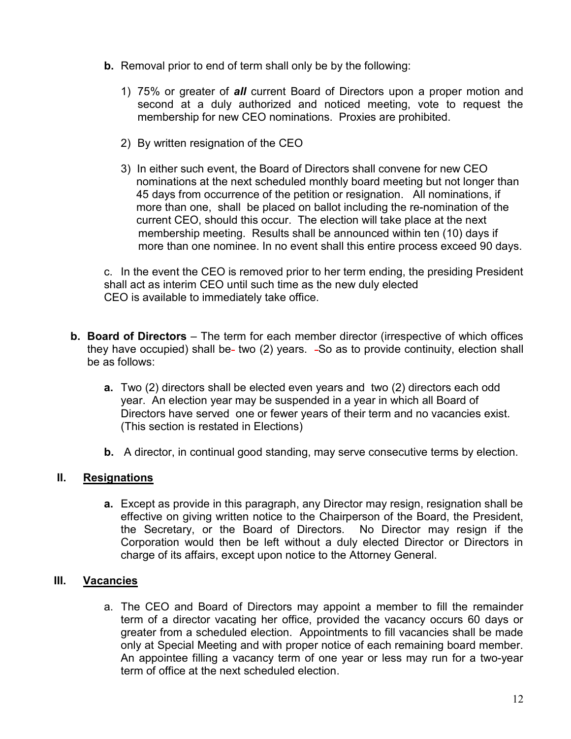- **b.** Removal prior to end of term shall only be by the following:
	- 1) 75% or greater of *all* current Board of Directors upon a proper motion and second at a duly authorized and noticed meeting, vote to request the membership for new CEO nominations. Proxies are prohibited.
	- 2) By written resignation of the CEO
	- 3) In either such event, the Board of Directors shall convene for new CEO nominations at the next scheduled monthly board meeting but not longer than 45 days from occurrence of the petition or resignation. All nominations, if more than one, shall be placed on ballot including the re-nomination of the current CEO, should this occur. The election will take place at the next membership meeting. Results shall be announced within ten (10) days if more than one nominee. In no event shall this entire process exceed 90 days.

c. In the event the CEO is removed prior to her term ending, the presiding President shall act as interim CEO until such time as the new duly elected CEO is available to immediately take office.

- **b. Board of Directors** The term for each member director (irrespective of which offices they have occupied) shall be- two (2) years. -So as to provide continuity, election shall be as follows:
	- **a.** Two (2) directors shall be elected even years and two (2) directors each odd year. An election year may be suspended in a year in which all Board of Directors have served one or fewer years of their term and no vacancies exist. (This section is restated in Elections)
	- **b.** A director, in continual good standing, may serve consecutive terms by election.

#### **II. Resignations**

**a.** Except as provide in this paragraph, any Director may resign, resignation shall be effective on giving written notice to the Chairperson of the Board, the President, the Secretary, or the Board of Directors. No Director may resign if the Corporation would then be left without a duly elected Director or Directors in charge of its affairs, except upon notice to the Attorney General.

#### **III. Vacancies**

a. The CEO and Board of Directors may appoint a member to fill the remainder term of a director vacating her office, provided the vacancy occurs 60 days or greater from a scheduled election. Appointments to fill vacancies shall be made only at Special Meeting and with proper notice of each remaining board member. An appointee filling a vacancy term of one year or less may run for a two-year term of office at the next scheduled election.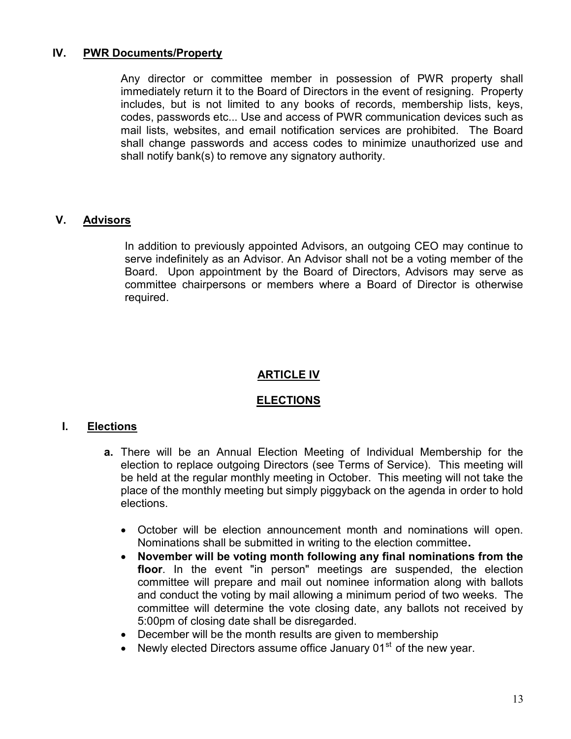#### **IV. PWR Documents/Property**

Any director or committee member in possession of PWR property shall immediately return it to the Board of Directors in the event of resigning. Property includes, but is not limited to any books of records, membership lists, keys, codes, passwords etc... Use and access of PWR communication devices such as mail lists, websites, and email notification services are prohibited. The Board shall change passwords and access codes to minimize unauthorized use and shall notify bank(s) to remove any signatory authority.

#### **V. Advisors**

In addition to previously appointed Advisors, an outgoing CEO may continue to serve indefinitely as an Advisor. An Advisor shall not be a voting member of the Board. Upon appointment by the Board of Directors, Advisors may serve as committee chairpersons or members where a Board of Director is otherwise required.

#### **ARTICLE IV**

#### **ELECTIONS**

#### **I. Elections**

- **a.** There will be an Annual Election Meeting of Individual Membership for the election to replace outgoing Directors (see Terms of Service). This meeting will be held at the regular monthly meeting in October. This meeting will not take the place of the monthly meeting but simply piggyback on the agenda in order to hold elections.
	- October will be election announcement month and nominations will open. Nominations shall be submitted in writing to the election committee**.**
	- **November will be voting month following any final nominations from the floor**. In the event "in person" meetings are suspended, the election committee will prepare and mail out nominee information along with ballots and conduct the voting by mail allowing a minimum period of two weeks. The committee will determine the vote closing date, any ballots not received by 5:00pm of closing date shall be disregarded.
	- December will be the month results are given to membership
	- Newly elected Directors assume office January 01<sup>st</sup> of the new vear.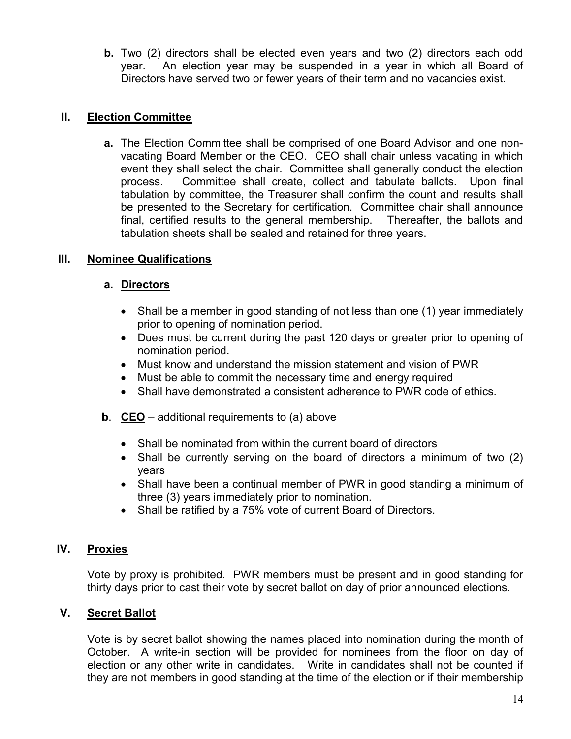**b.** Two (2) directors shall be elected even years and two (2) directors each odd year. An election year may be suspended in a year in which all Board of Directors have served two or fewer years of their term and no vacancies exist.

#### **II. Election Committee**

**a.** The Election Committee shall be comprised of one Board Advisor and one nonvacating Board Member or the CEO. CEO shall chair unless vacating in which event they shall select the chair. Committee shall generally conduct the election process. Committee shall create, collect and tabulate ballots. Upon final tabulation by committee, the Treasurer shall confirm the count and results shall be presented to the Secretary for certification. Committee chair shall announce final, certified results to the general membership. Thereafter, the ballots and tabulation sheets shall be sealed and retained for three years.

#### **III. Nominee Qualifications**

#### **a. Directors**

- Shall be a member in good standing of not less than one (1) year immediately prior to opening of nomination period.
- Dues must be current during the past 120 days or greater prior to opening of nomination period.
- Must know and understand the mission statement and vision of PWR
- Must be able to commit the necessary time and energy required
- Shall have demonstrated a consistent adherence to PWR code of ethics.
- **b**. **CEO** additional requirements to (a) above
	- Shall be nominated from within the current board of directors
	- Shall be currently serving on the board of directors a minimum of two (2) years
	- Shall have been a continual member of PWR in good standing a minimum of three (3) years immediately prior to nomination.
	- Shall be ratified by a 75% vote of current Board of Directors.

# **IV. Proxies**

Vote by proxy is prohibited. PWR members must be present and in good standing for thirty days prior to cast their vote by secret ballot on day of prior announced elections.

# **V. Secret Ballot**

Vote is by secret ballot showing the names placed into nomination during the month of October. A write-in section will be provided for nominees from the floor on day of election or any other write in candidates. Write in candidates shall not be counted if they are not members in good standing at the time of the election or if their membership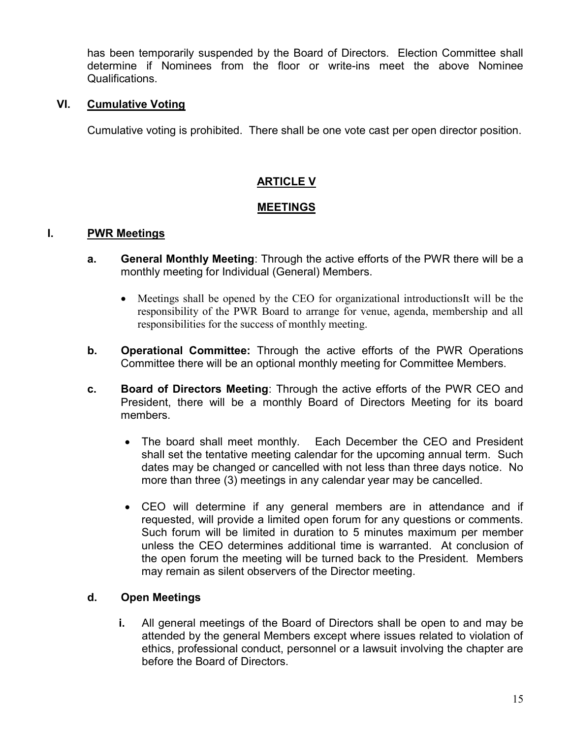has been temporarily suspended by the Board of Directors. Election Committee shall determine if Nominees from the floor or write-ins meet the above Nominee Qualifications.

#### **VI. Cumulative Voting**

Cumulative voting is prohibited. There shall be one vote cast per open director position.

## **ARTICLE V**

#### **MEETINGS**

#### **I. PWR Meetings**

- **a. General Monthly Meeting**: Through the active efforts of the PWR there will be a monthly meeting for Individual (General) Members.
	- Meetings shall be opened by the CEO for organizational introductionsIt will be the responsibility of the PWR Board to arrange for venue, agenda, membership and all responsibilities for the success of monthly meeting.
- **b. Operational Committee:** Through the active efforts of the PWR Operations Committee there will be an optional monthly meeting for Committee Members.
- **c. Board of Directors Meeting**: Through the active efforts of the PWR CEO and President, there will be a monthly Board of Directors Meeting for its board members.
	- The board shall meet monthly. Each December the CEO and President shall set the tentative meeting calendar for the upcoming annual term. Such dates may be changed or cancelled with not less than three days notice. No more than three (3) meetings in any calendar year may be cancelled.
	- CEO will determine if any general members are in attendance and if requested, will provide a limited open forum for any questions or comments. Such forum will be limited in duration to 5 minutes maximum per member unless the CEO determines additional time is warranted. At conclusion of the open forum the meeting will be turned back to the President. Members may remain as silent observers of the Director meeting.

#### **d. Open Meetings**

**i.** All general meetings of the Board of Directors shall be open to and may be attended by the general Members except where issues related to violation of ethics, professional conduct, personnel or a lawsuit involving the chapter are before the Board of Directors.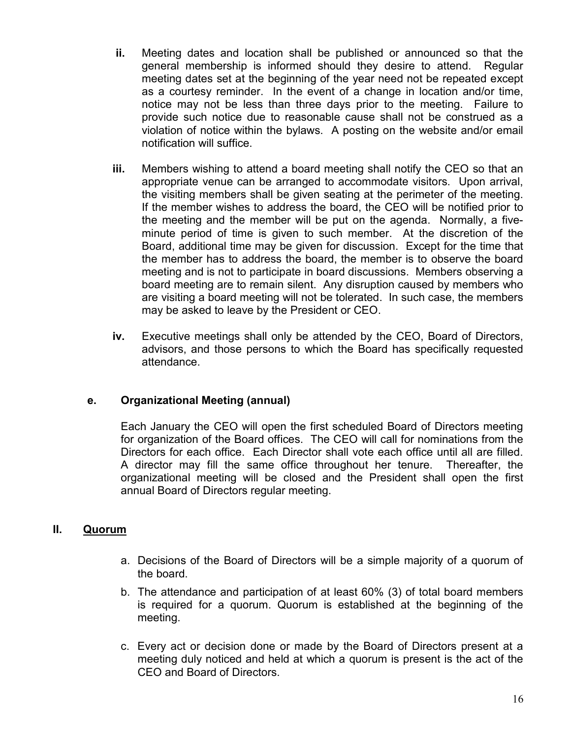- **ii.** Meeting dates and location shall be published or announced so that the general membership is informed should they desire to attend. Regular meeting dates set at the beginning of the year need not be repeated except as a courtesy reminder. In the event of a change in location and/or time, notice may not be less than three days prior to the meeting. Failure to provide such notice due to reasonable cause shall not be construed as a violation of notice within the bylaws. A posting on the website and/or email notification will suffice.
- **iii.** Members wishing to attend a board meeting shall notify the CEO so that an appropriate venue can be arranged to accommodate visitors. Upon arrival, the visiting members shall be given seating at the perimeter of the meeting. If the member wishes to address the board, the CEO will be notified prior to the meeting and the member will be put on the agenda. Normally, a fiveminute period of time is given to such member. At the discretion of the Board, additional time may be given for discussion. Except for the time that the member has to address the board, the member is to observe the board meeting and is not to participate in board discussions. Members observing a board meeting are to remain silent. Any disruption caused by members who are visiting a board meeting will not be tolerated. In such case, the members may be asked to leave by the President or CEO.
- **iv.** Executive meetings shall only be attended by the CEO, Board of Directors, advisors, and those persons to which the Board has specifically requested attendance.

#### **e. Organizational Meeting (annual)**

Each January the CEO will open the first scheduled Board of Directors meeting for organization of the Board offices. The CEO will call for nominations from the Directors for each office. Each Director shall vote each office until all are filled. A director may fill the same office throughout her tenure. Thereafter, the organizational meeting will be closed and the President shall open the first annual Board of Directors regular meeting.

#### **II. Quorum**

- a. Decisions of the Board of Directors will be a simple majority of a quorum of the board.
- b. The attendance and participation of at least 60% (3) of total board members is required for a quorum. Quorum is established at the beginning of the meeting.
- c. Every act or decision done or made by the Board of Directors present at a meeting duly noticed and held at which a quorum is present is the act of the CEO and Board of Directors.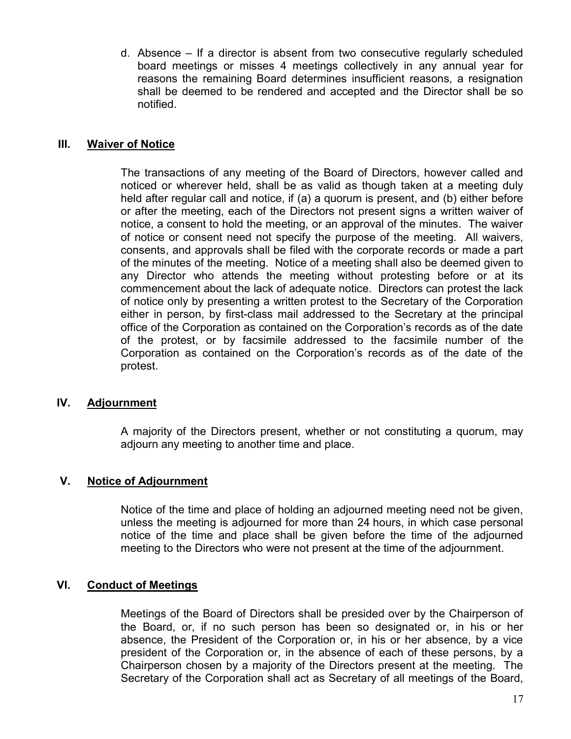d. Absence – If a director is absent from two consecutive regularly scheduled board meetings or misses 4 meetings collectively in any annual year for reasons the remaining Board determines insufficient reasons, a resignation shall be deemed to be rendered and accepted and the Director shall be so notified.

#### **III. Waiver of Notice**

The transactions of any meeting of the Board of Directors, however called and noticed or wherever held, shall be as valid as though taken at a meeting duly held after regular call and notice, if (a) a quorum is present, and (b) either before or after the meeting, each of the Directors not present signs a written waiver of notice, a consent to hold the meeting, or an approval of the minutes. The waiver of notice or consent need not specify the purpose of the meeting. All waivers, consents, and approvals shall be filed with the corporate records or made a part of the minutes of the meeting. Notice of a meeting shall also be deemed given to any Director who attends the meeting without protesting before or at its commencement about the lack of adequate notice. Directors can protest the lack of notice only by presenting a written protest to the Secretary of the Corporation either in person, by first-class mail addressed to the Secretary at the principal office of the Corporation as contained on the Corporation's records as of the date of the protest, or by facsimile addressed to the facsimile number of the Corporation as contained on the Corporation's records as of the date of the protest.

#### **IV. Adjournment**

A majority of the Directors present, whether or not constituting a quorum, may adjourn any meeting to another time and place.

#### **V. Notice of Adjournment**

Notice of the time and place of holding an adjourned meeting need not be given, unless the meeting is adjourned for more than 24 hours, in which case personal notice of the time and place shall be given before the time of the adjourned meeting to the Directors who were not present at the time of the adjournment.

#### **VI. Conduct of Meetings**

Meetings of the Board of Directors shall be presided over by the Chairperson of the Board, or, if no such person has been so designated or, in his or her absence, the President of the Corporation or, in his or her absence, by a vice president of the Corporation or, in the absence of each of these persons, by a Chairperson chosen by a majority of the Directors present at the meeting. The Secretary of the Corporation shall act as Secretary of all meetings of the Board,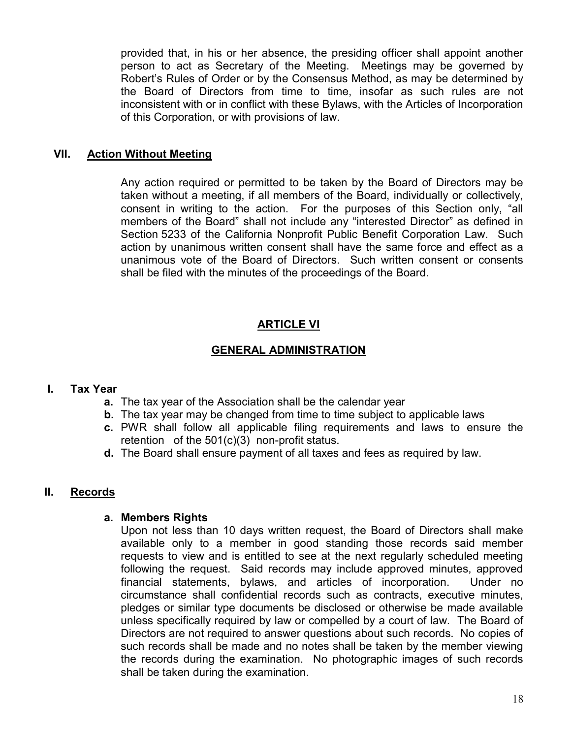provided that, in his or her absence, the presiding officer shall appoint another person to act as Secretary of the Meeting. Meetings may be governed by Robert's Rules of Order or by the Consensus Method, as may be determined by the Board of Directors from time to time, insofar as such rules are not inconsistent with or in conflict with these Bylaws, with the Articles of Incorporation of this Corporation, or with provisions of law.

#### **VII. Action Without Meeting**

Any action required or permitted to be taken by the Board of Directors may be taken without a meeting, if all members of the Board, individually or collectively, consent in writing to the action. For the purposes of this Section only, "all members of the Board" shall not include any "interested Director" as defined in Section 5233 of the California Nonprofit Public Benefit Corporation Law. Such action by unanimous written consent shall have the same force and effect as a unanimous vote of the Board of Directors. Such written consent or consents shall be filed with the minutes of the proceedings of the Board.

#### **ARTICLE VI**

#### **GENERAL ADMINISTRATION**

#### **I. Tax Year**

- **a.** The tax year of the Association shall be the calendar year
- **b.** The tax year may be changed from time to time subject to applicable laws
- **c.** PWR shall follow all applicable filing requirements and laws to ensure the retention of the 501(c)(3) non-profit status.
- **d.** The Board shall ensure payment of all taxes and fees as required by law.

#### **II. Records**

#### **a. Members Rights**

Upon not less than 10 days written request, the Board of Directors shall make available only to a member in good standing those records said member requests to view and is entitled to see at the next regularly scheduled meeting following the request. Said records may include approved minutes, approved financial statements, bylaws, and articles of incorporation. Under no circumstance shall confidential records such as contracts, executive minutes, pledges or similar type documents be disclosed or otherwise be made available unless specifically required by law or compelled by a court of law. The Board of Directors are not required to answer questions about such records. No copies of such records shall be made and no notes shall be taken by the member viewing the records during the examination. No photographic images of such records shall be taken during the examination.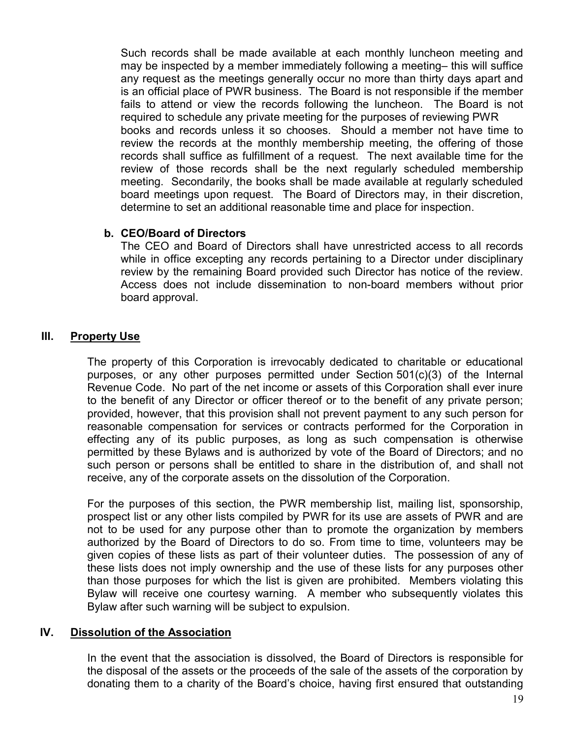Such records shall be made available at each monthly luncheon meeting and may be inspected by a member immediately following a meeting– this will suffice any request as the meetings generally occur no more than thirty days apart and is an official place of PWR business. The Board is not responsible if the member fails to attend or view the records following the luncheon. The Board is not required to schedule any private meeting for the purposes of reviewing PWR books and records unless it so chooses. Should a member not have time to review the records at the monthly membership meeting, the offering of those records shall suffice as fulfillment of a request. The next available time for the review of those records shall be the next regularly scheduled membership meeting. Secondarily, the books shall be made available at regularly scheduled board meetings upon request. The Board of Directors may, in their discretion, determine to set an additional reasonable time and place for inspection.

#### **b. CEO/Board of Directors**

The CEO and Board of Directors shall have unrestricted access to all records while in office excepting any records pertaining to a Director under disciplinary review by the remaining Board provided such Director has notice of the review. Access does not include dissemination to non-board members without prior board approval.

#### **III. Property Use**

The property of this Corporation is irrevocably dedicated to charitable or educational purposes, or any other purposes permitted under Section 501(c)(3) of the Internal Revenue Code. No part of the net income or assets of this Corporation shall ever inure to the benefit of any Director or officer thereof or to the benefit of any private person; provided, however, that this provision shall not prevent payment to any such person for reasonable compensation for services or contracts performed for the Corporation in effecting any of its public purposes, as long as such compensation is otherwise permitted by these Bylaws and is authorized by vote of the Board of Directors; and no such person or persons shall be entitled to share in the distribution of, and shall not receive, any of the corporate assets on the dissolution of the Corporation.

For the purposes of this section, the PWR membership list, mailing list, sponsorship, prospect list or any other lists compiled by PWR for its use are assets of PWR and are not to be used for any purpose other than to promote the organization by members authorized by the Board of Directors to do so. From time to time, volunteers may be given copies of these lists as part of their volunteer duties. The possession of any of these lists does not imply ownership and the use of these lists for any purposes other than those purposes for which the list is given are prohibited. Members violating this Bylaw will receive one courtesy warning. A member who subsequently violates this Bylaw after such warning will be subject to expulsion.

#### **IV. Dissolution of the Association**

In the event that the association is dissolved, the Board of Directors is responsible for the disposal of the assets or the proceeds of the sale of the assets of the corporation by donating them to a charity of the Board's choice, having first ensured that outstanding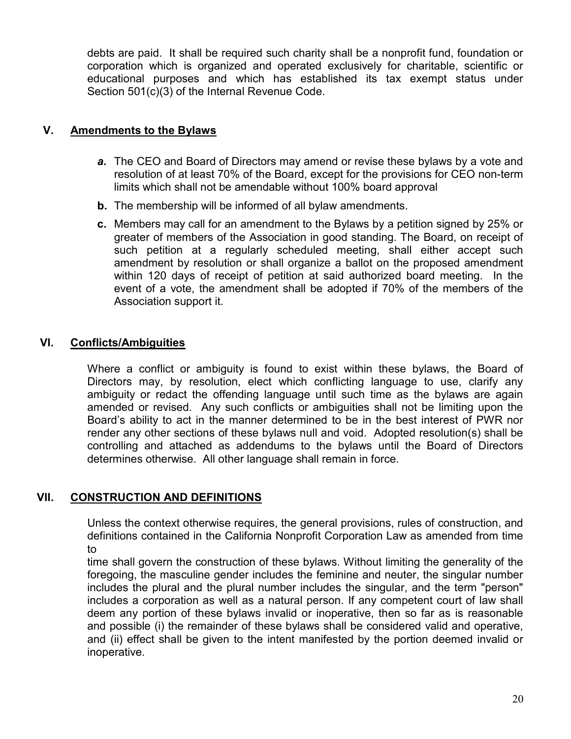debts are paid. It shall be required such charity shall be a nonprofit fund, foundation or corporation which is organized and operated exclusively for charitable, scientific or educational purposes and which has established its tax exempt status under Section 501(c)(3) of the Internal Revenue Code.

#### **V. Amendments to the Bylaws**

- *a.* The CEO and Board of Directors may amend or revise these bylaws by a vote and resolution of at least 70% of the Board, except for the provisions for CEO non-term limits which shall not be amendable without 100% board approval
- **b.** The membership will be informed of all bylaw amendments.
- **c.** Members may call for an amendment to the Bylaws by a petition signed by 25% or greater of members of the Association in good standing. The Board, on receipt of such petition at a regularly scheduled meeting, shall either accept such amendment by resolution or shall organize a ballot on the proposed amendment within 120 days of receipt of petition at said authorized board meeting. In the event of a vote, the amendment shall be adopted if 70% of the members of the Association support it.

#### **VI. Conflicts/Ambiguities**

Where a conflict or ambiguity is found to exist within these bylaws, the Board of Directors may, by resolution, elect which conflicting language to use, clarify any ambiguity or redact the offending language until such time as the bylaws are again amended or revised. Any such conflicts or ambiguities shall not be limiting upon the Board's ability to act in the manner determined to be in the best interest of PWR nor render any other sections of these bylaws null and void. Adopted resolution(s) shall be controlling and attached as addendums to the bylaws until the Board of Directors determines otherwise. All other language shall remain in force.

#### **VII. CONSTRUCTION AND DEFINITIONS**

Unless the context otherwise requires, the general provisions, rules of construction, and definitions contained in the California Nonprofit Corporation Law as amended from time to

time shall govern the construction of these bylaws. Without limiting the generality of the foregoing, the masculine gender includes the feminine and neuter, the singular number includes the plural and the plural number includes the singular, and the term "person" includes a corporation as well as a natural person. If any competent court of law shall deem any portion of these bylaws invalid or inoperative, then so far as is reasonable and possible (i) the remainder of these bylaws shall be considered valid and operative, and (ii) effect shall be given to the intent manifested by the portion deemed invalid or inoperative.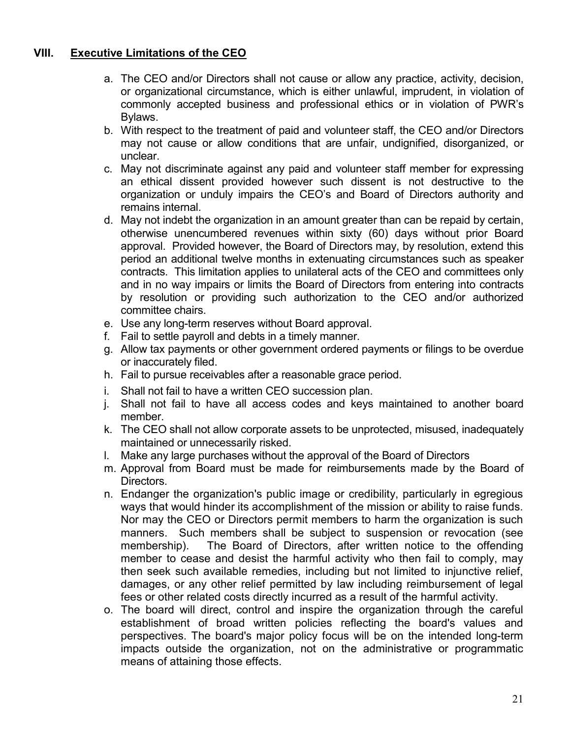#### **VIII. Executive Limitations of the CEO**

- a. The CEO and/or Directors shall not cause or allow any practice, activity, decision, or organizational circumstance, which is either unlawful, imprudent, in violation of commonly accepted business and professional ethics or in violation of PWR's Bylaws.
- b. With respect to the treatment of paid and volunteer staff, the CEO and/or Directors may not cause or allow conditions that are unfair, undignified, disorganized, or unclear.
- c. May not discriminate against any paid and volunteer staff member for expressing an ethical dissent provided however such dissent is not destructive to the organization or unduly impairs the CEO's and Board of Directors authority and remains internal.
- d. May not indebt the organization in an amount greater than can be repaid by certain, otherwise unencumbered revenues within sixty (60) days without prior Board approval. Provided however, the Board of Directors may, by resolution, extend this period an additional twelve months in extenuating circumstances such as speaker contracts. This limitation applies to unilateral acts of the CEO and committees only and in no way impairs or limits the Board of Directors from entering into contracts by resolution or providing such authorization to the CEO and/or authorized committee chairs.
- e. Use any long-term reserves without Board approval.
- f. Fail to settle payroll and debts in a timely manner.
- g. Allow tax payments or other government ordered payments or filings to be overdue or inaccurately filed.
- h. Fail to pursue receivables after a reasonable grace period.
- i. Shall not fail to have a written CEO succession plan.
- j. Shall not fail to have all access codes and keys maintained to another board member.
- k. The CEO shall not allow corporate assets to be unprotected, misused, inadequately maintained or unnecessarily risked.
- l. Make any large purchases without the approval of the Board of Directors
- m. Approval from Board must be made for reimbursements made by the Board of Directors.
- n. Endanger the organization's public image or credibility, particularly in egregious ways that would hinder its accomplishment of the mission or ability to raise funds. Nor may the CEO or Directors permit members to harm the organization is such manners. Such members shall be subject to suspension or revocation (see membership). The Board of Directors, after written notice to the offending member to cease and desist the harmful activity who then fail to comply, may then seek such available remedies, including but not limited to injunctive relief, damages, or any other relief permitted by law including reimbursement of legal fees or other related costs directly incurred as a result of the harmful activity.
- o. The board will direct, control and inspire the organization through the careful establishment of broad written policies reflecting the board's values and perspectives. The board's major policy focus will be on the intended long-term impacts outside the organization, not on the administrative or programmatic means of attaining those effects.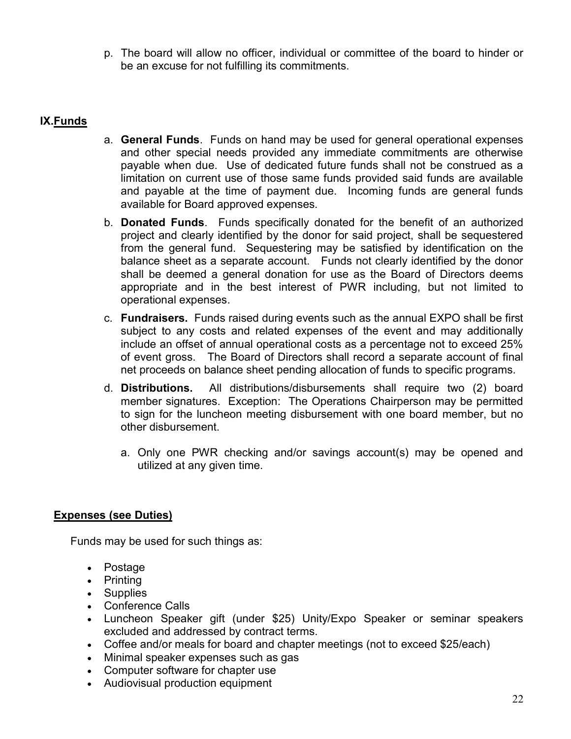p. The board will allow no officer, individual or committee of the board to hinder or be an excuse for not fulfilling its commitments.

#### **IX.Funds**

- a. **General Funds**. Funds on hand may be used for general operational expenses and other special needs provided any immediate commitments are otherwise payable when due. Use of dedicated future funds shall not be construed as a limitation on current use of those same funds provided said funds are available and payable at the time of payment due. Incoming funds are general funds available for Board approved expenses.
- b. **Donated Funds**. Funds specifically donated for the benefit of an authorized project and clearly identified by the donor for said project, shall be sequestered from the general fund. Sequestering may be satisfied by identification on the balance sheet as a separate account. Funds not clearly identified by the donor shall be deemed a general donation for use as the Board of Directors deems appropriate and in the best interest of PWR including, but not limited to operational expenses.
- c. **Fundraisers.** Funds raised during events such as the annual EXPO shall be first subject to any costs and related expenses of the event and may additionally include an offset of annual operational costs as a percentage not to exceed 25% of event gross. The Board of Directors shall record a separate account of final net proceeds on balance sheet pending allocation of funds to specific programs.
- d. **Distributions.** All distributions/disbursements shall require two (2) board member signatures. Exception: The Operations Chairperson may be permitted to sign for the luncheon meeting disbursement with one board member, but no other disbursement.
	- a. Only one PWR checking and/or savings account(s) may be opened and utilized at any given time.

#### **Expenses (see Duties)**

Funds may be used for such things as:

- Postage
- Printing
- Supplies
- Conference Calls
- Luncheon Speaker gift (under \$25) Unity/Expo Speaker or seminar speakers excluded and addressed by contract terms.
- Coffee and/or meals for board and chapter meetings (not to exceed \$25/each)
- Minimal speaker expenses such as gas
- Computer software for chapter use
- Audiovisual production equipment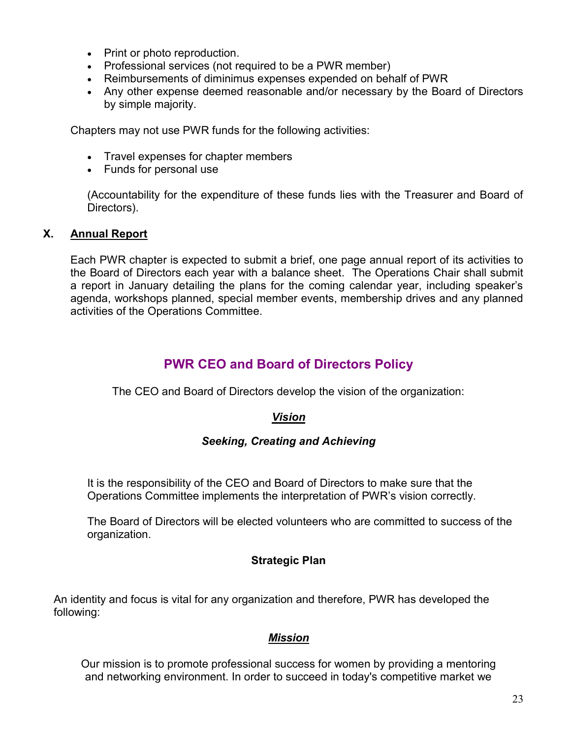- Print or photo reproduction.
- Professional services (not required to be a PWR member)
- Reimbursements of diminimus expenses expended on behalf of PWR
- Any other expense deemed reasonable and/or necessary by the Board of Directors by simple majority.

Chapters may not use PWR funds for the following activities:

- Travel expenses for chapter members
- Funds for personal use

(Accountability for the expenditure of these funds lies with the Treasurer and Board of Directors).

#### **X. Annual Report**

Each PWR chapter is expected to submit a brief, one page annual report of its activities to the Board of Directors each year with a balance sheet. The Operations Chair shall submit a report in January detailing the plans for the coming calendar year, including speaker's agenda, workshops planned, special member events, membership drives and any planned activities of the Operations Committee.

# **PWR CEO and Board of Directors Policy**

The CEO and Board of Directors develop the vision of the organization:

#### *Vision*

#### *Seeking, Creating and Achieving*

It is the responsibility of the CEO and Board of Directors to make sure that the Operations Committee implements the interpretation of PWR's vision correctly.

The Board of Directors will be elected volunteers who are committed to success of the organization.

#### **Strategic Plan**

An identity and focus is vital for any organization and therefore, PWR has developed the following:

#### *Mission*

Our mission is to promote professional success for women by providing a mentoring and networking environment. In order to succeed in today's competitive market we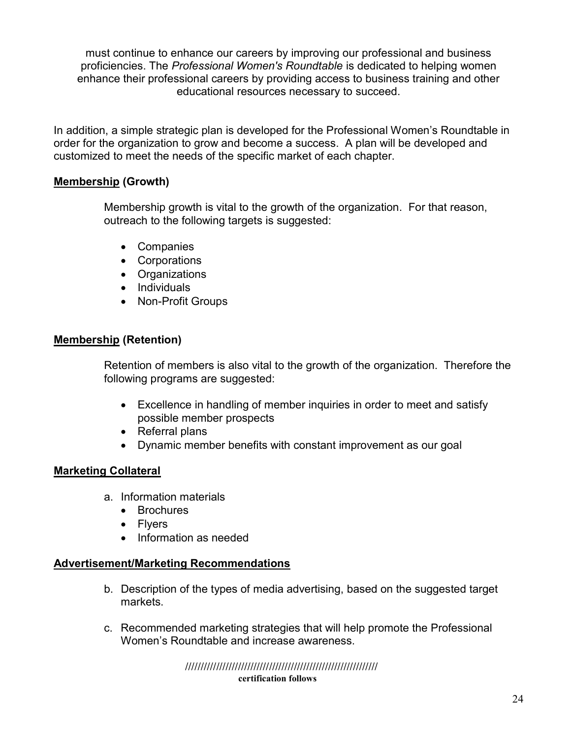must continue to enhance our careers by improving our professional and business proficiencies. The *Professional Women's Roundtable* is dedicated to helping women enhance their professional careers by providing access to business training and other educational resources necessary to succeed.

In addition, a simple strategic plan is developed for the Professional Women's Roundtable in order for the organization to grow and become a success. A plan will be developed and customized to meet the needs of the specific market of each chapter.

#### **Membership (Growth)**

Membership growth is vital to the growth of the organization. For that reason, outreach to the following targets is suggested:

- Companies
- Corporations
- Organizations
- Individuals
- Non-Profit Groups

#### **Membership (Retention)**

Retention of members is also vital to the growth of the organization. Therefore the following programs are suggested:

- Excellence in handling of member inquiries in order to meet and satisfy possible member prospects
- Referral plans
- Dynamic member benefits with constant improvement as our goal

#### **Marketing Collateral**

- a. Information materials
	- Brochures
	- Flyers
	- Information as needed

#### **Advertisement/Marketing Recommendations**

- b. Description of the types of media advertising, based on the suggested target markets.
- c. Recommended marketing strategies that will help promote the Professional Women's Roundtable and increase awareness.

 **////////////////////////////////////////////////////////////// certification follows**